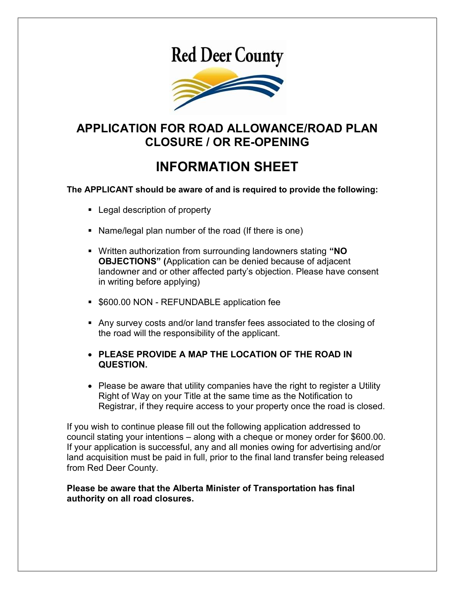# **Red Deer County**



### APPLICATION FOR ROAD ALLOWANCE/ROAD PLAN CLOSURE / OR RE-OPENING

## INFORMATION SHEET

The APPLICANT should be aware of and is required to provide the following:

- **Legal description of property**
- Name/legal plan number of the road (If there is one)
- Written authorization from surrounding landowners stating "NO OBJECTIONS" (Application can be denied because of adjacent landowner and or other affected party's objection. Please have consent in writing before applying)
- **5600.00 NON REFUNDABLE application fee**
- Any survey costs and/or land transfer fees associated to the closing of the road will the responsibility of the applicant.
- PLEASE PROVIDE A MAP THE LOCATION OF THE ROAD IN QUESTION.
- Please be aware that utility companies have the right to register a Utility Right of Way on your Title at the same time as the Notification to Registrar, if they require access to your property once the road is closed.

If you wish to continue please fill out the following application addressed to council stating your intentions – along with a cheque or money order for \$600.00. If your application is successful, any and all monies owing for advertising and/or land acquisition must be paid in full, prior to the final land transfer being released from Red Deer County.

#### Please be aware that the Alberta Minister of Transportation has final authority on all road closures.